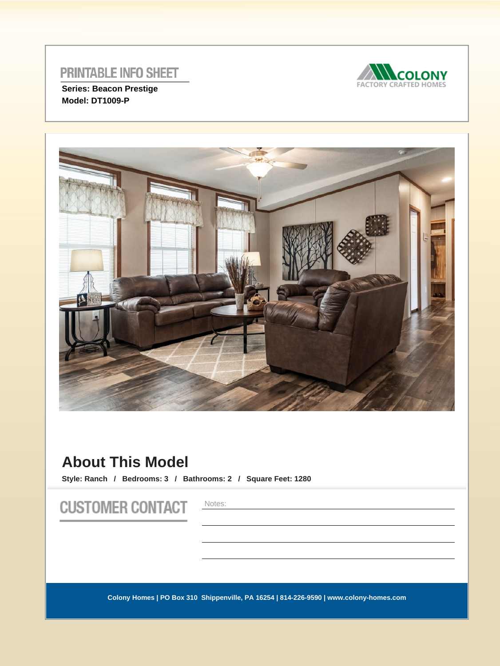

**Series: Beacon Prestige Model: DT1009-P** 



# **About This Model**

**Style: Ranch / Bedrooms: 3 / Bathrooms: 2 / Square Feet: 1280**

**CUSTOMER CONTACT** 

Notes: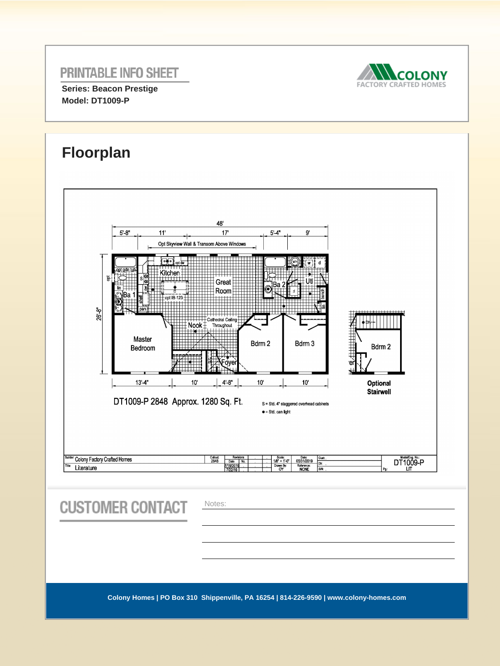**Series: Beacon Prestige Model: DT1009-P** 



#### **Floorplan**48'  $5' - 4''$  $5'$ -8"  $11$  $17<sup>1</sup>$  $9^{\circ}$ Opt Skyview Wall & Transom Above Windows œ m.  $\frac{1}{\cot \theta}$ Kitchen  $\overline{g}$ Great ١ŀ Room ∶̃∑Ba  $opt$  IB-123 ٦ 26'-8" .<br>Cathedral Ceiling Nook 1 Throughout Master Bdrm 2 Bdrm 3 Bdrm 2 Bedroom OVE e  $13' - 4''$  $10'$  $4' 8''$  $10<sup>1</sup>$  $10'$ Optional Stairwell DT1009-P 2848 Approx. 1280 Sq. Ft. S = Std. 4" staggered overhead cabinets  $\bullet$  = Std. can light Colony Factory Crafted Homes Callout<br>2848 Scale: Date:<br>1/8" = 1'-0" 05/31/2019<br>Drawn By: Reference:<br>OY NONE DT1009-P Cust Date No.<br>7/16/2019  $-\overline{p_E}$ Literature

**CUSTOMER CONTACT** 

Notes: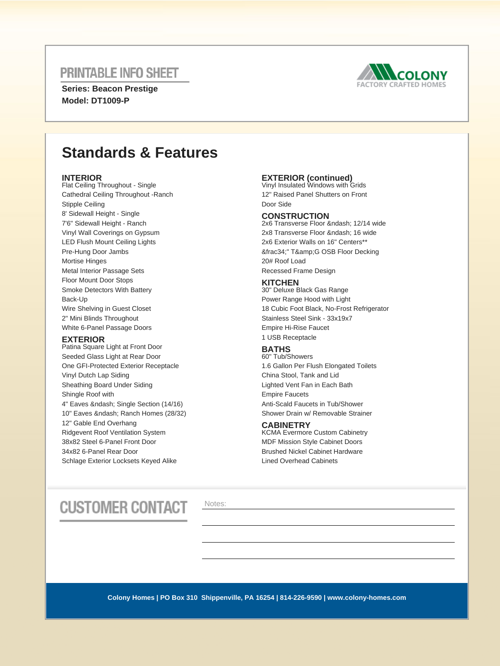**Series: Beacon Prestige Model: DT1009-P** 



# **Standards & Features**

#### **INTERIOR**

Flat Ceiling Throughout - Single Cathedral Ceiling Throughout -Ranch Stipple Ceiling 8' Sidewall Height - Single 7'6" Sidewall Height - Ranch Vinyl Wall Coverings on Gypsum LED Flush Mount Ceiling Lights Pre-Hung Door Jambs Mortise Hinges Metal Interior Passage Sets Floor Mount Door Stops Smoke Detectors With Battery Back-Up Wire Shelving in Guest Closet 2" Mini Blinds Throughout White 6-Panel Passage Doors

#### **EXTERIOR**

Patina Square Light at Front Door Seeded Glass Light at Rear Door One GFI-Protected Exterior Receptacle Vinyl Dutch Lap Siding Sheathing Board Under Siding Shingle Roof with 4" Eaves & ndash; Single Section (14/16) 10" Eaves & ndash: Ranch Homes (28/32) 12" Gable End Overhang Ridgevent Roof Ventilation System 38x82 Steel 6-Panel Front Door 34x82 6-Panel Rear Door Schlage Exterior Locksets Keyed Alike

## **EXTERIOR (continued)** Vinyl Insulated Windows with Grids

12" Raised Panel Shutters on Front Door Side

#### **CONSTRUCTION**

2x6 Transverse Floor – 12/14 wide 2x8 Transverse Floor – 16 wide 2x6 Exterior Walls on 16" Centers\*\* ¾" T&G OSB Floor Decking 20# Roof Load Recessed Frame Design

#### **KITCHEN**

30" Deluxe Black Gas Range Power Range Hood with Light 18 Cubic Foot Black, No-Frost Refrigerator Stainless Steel Sink - 33x19x7 Empire Hi-Rise Faucet 1 USB Receptacle

### **BATHS**

60" Tub/Showers 1.6 Gallon Per Flush Elongated Toilets China Stool, Tank and Lid Lighted Vent Fan in Each Bath Empire Faucets Anti-Scald Faucets in Tub/Shower Shower Drain w/ Removable Strainer

#### **CABINETRY**

KCMA Evermore Custom Cabinetry MDF Mission Style Cabinet Doors Brushed Nickel Cabinet Hardware Lined Overhead Cabinets

# **CUSTOMER CONTACT**

Notes: